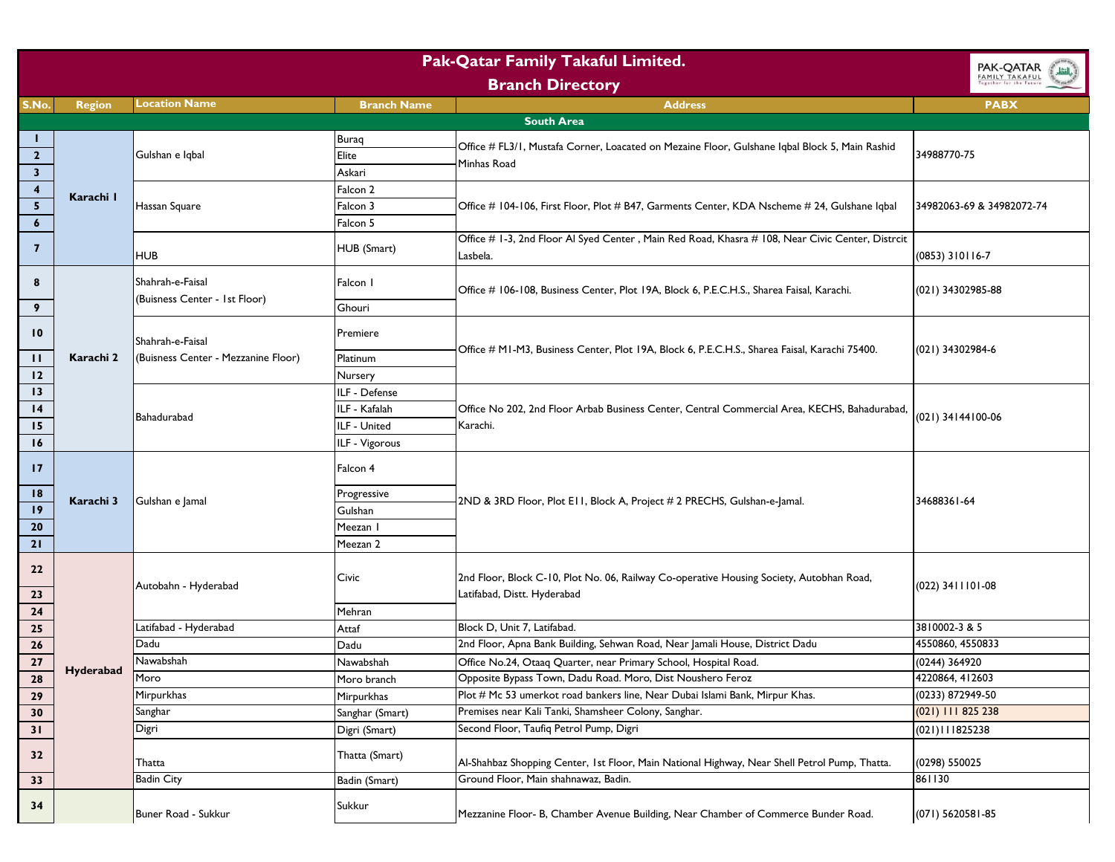| <b>Pak-Qatar Family Takaful Limited.</b><br>PAK-QATAR<br>بالقطر |                         |                                                         |                    |                                                                                                                         |                           |
|-----------------------------------------------------------------|-------------------------|---------------------------------------------------------|--------------------|-------------------------------------------------------------------------------------------------------------------------|---------------------------|
|                                                                 | <b>Branch Directory</b> |                                                         |                    |                                                                                                                         | FAMILY TAKAFUL            |
| S.No.                                                           | <b>Region</b>           | <b>Location Name</b>                                    | <b>Branch Name</b> | <b>Address</b>                                                                                                          | <b>PABX</b>               |
|                                                                 |                         |                                                         |                    | <b>South Area</b>                                                                                                       |                           |
|                                                                 |                         |                                                         | <b>Buraq</b>       |                                                                                                                         |                           |
| $\overline{\mathbf{2}}$                                         |                         | Gulshan e Iqbal                                         | Elite              | Office # FL3/1, Mustafa Corner, Loacated on Mezaine Floor, Gulshane Iqbal Block 5, Main Rashid                          | 34988770-75               |
| $\overline{\mathbf{3}}$                                         |                         |                                                         | Askari             | Minhas Road                                                                                                             |                           |
| $\overline{\mathbf{4}}$                                         | Karachi I               |                                                         | Falcon 2           |                                                                                                                         |                           |
| $\overline{\mathbf{5}}$                                         |                         | Hassan Square                                           | Falcon 3           | Office # 104-106, First Floor, Plot # B47, Garments Center, KDA Nscheme # 24, Gulshane Iqbal                            | 34982063-69 & 34982072-74 |
| $\boldsymbol{6}$                                                |                         |                                                         | Falcon 5           |                                                                                                                         |                           |
| $\overline{\mathbf{z}}$                                         |                         | HUB                                                     | HUB (Smart)        | Office # 1-3, 2nd Floor Al Syed Center, Main Red Road, Khasra # 108, Near Civic Center, Distrcit<br>Lasbela.            | $(0853)$ 310116-7         |
| 8                                                               |                         | Shahrah-e-Faisal<br>(Buisness Center - 1st Floor)       | Falcon I           | Office # 106-108, Business Center, Plot 19A, Block 6, P.E.C.H.S., Sharea Faisal, Karachi.                               | (021) 34302985-88         |
| 9                                                               |                         |                                                         | Ghouri             |                                                                                                                         |                           |
| $\overline{10}$                                                 |                         | Shahrah-e-Faisal<br>(Buisness Center - Mezzanine Floor) | Premiere           | Office # M1-M3, Business Center, Plot 19A, Block 6, P.E.C.H.S., Sharea Faisal, Karachi 75400.                           | (021) 34302984-6          |
| п                                                               | Karachi 2               |                                                         | Platinum           |                                                                                                                         |                           |
| 12                                                              |                         |                                                         | Nursery            |                                                                                                                         |                           |
| 13                                                              |                         |                                                         | ILF - Defense      |                                                                                                                         |                           |
| $\overline{14}$                                                 |                         | Bahadurabad                                             | ILF - Kafalah      | Office No 202, 2nd Floor Arbab Business Center, Central Commercial Area, KECHS, Bahadurabad,                            | (021) 34144100-06         |
| 15                                                              |                         |                                                         | ILF - United       | Karachi.                                                                                                                |                           |
| 16                                                              |                         |                                                         | ILF - Vigorous     |                                                                                                                         |                           |
| $\mathbf{17}$                                                   |                         |                                                         | Falcon 4           |                                                                                                                         |                           |
| 18                                                              | Karachi 3               | Gulshan e Jamal                                         | Progressive        | 2ND & 3RD Floor, Plot E11, Block A, Project # 2 PRECHS, Gulshan-e-Jamal.                                                | 34688361-64               |
| 19                                                              |                         |                                                         | Gulshan            |                                                                                                                         |                           |
| 20                                                              |                         |                                                         | Meezan I           |                                                                                                                         |                           |
| 21                                                              |                         |                                                         | Meezan 2           |                                                                                                                         |                           |
| 22<br>23                                                        |                         | Autobahn - Hyderabad                                    | Civic              | 2nd Floor, Block C-10, Plot No. 06, Railway Co-operative Housing Society, Autobhan Road,<br>Latifabad, Distt. Hyderabad | $(022)$ 3411101-08        |
| 24                                                              |                         |                                                         | Mehran             |                                                                                                                         |                           |
| 25                                                              |                         | Latifabad - Hyderabad                                   | Attaf              | Block D, Unit 7, Latifabad.                                                                                             | 3810002-3 & 5             |
| 26                                                              |                         | Dadu                                                    | Dadu               | 2nd Floor, Apna Bank Building, Sehwan Road, Near Jamali House, District Dadu                                            | 4550860, 4550833          |
| 27                                                              |                         | Nawabshah                                               | Nawabshah          | Office No.24, Otaaq Quarter, near Primary School, Hospital Road.                                                        | (0244) 364920             |
| 28                                                              | <b>Hyderabad</b>        | Moro                                                    | Moro branch        | Opposite Bypass Town, Dadu Road. Moro, Dist Noushero Feroz                                                              | 4220864, 412603           |
| 29                                                              |                         | Mirpurkhas                                              | Mirpurkhas         | Plot # Mc 53 umerkot road bankers line, Near Dubai Islami Bank, Mirpur Khas.                                            | (0233) 872949-50          |
| 30                                                              |                         | Sanghar                                                 | Sanghar (Smart)    | Premises near Kali Tanki, Shamsheer Colony, Sanghar.                                                                    | $(021)$ 111 825 238       |
| 31                                                              |                         | Digri                                                   | Digri (Smart)      | Second Floor, Taufiq Petrol Pump, Digri                                                                                 | (021)111825238            |
| 32                                                              |                         | Thatta                                                  | Thatta (Smart)     | Al-Shahbaz Shopping Center, 1st Floor, Main National Highway, Near Shell Petrol Pump, Thatta.                           | (0298) 550025             |
| 33                                                              |                         | <b>Badin City</b>                                       | Badin (Smart)      | Ground Floor, Main shahnawaz, Badin.                                                                                    | 861130                    |
| 34                                                              |                         | Buner Road - Sukkur                                     | Sukkur             | Mezzanine Floor- B, Chamber Avenue Building, Near Chamber of Commerce Bunder Road.                                      | (071) 5620581-85          |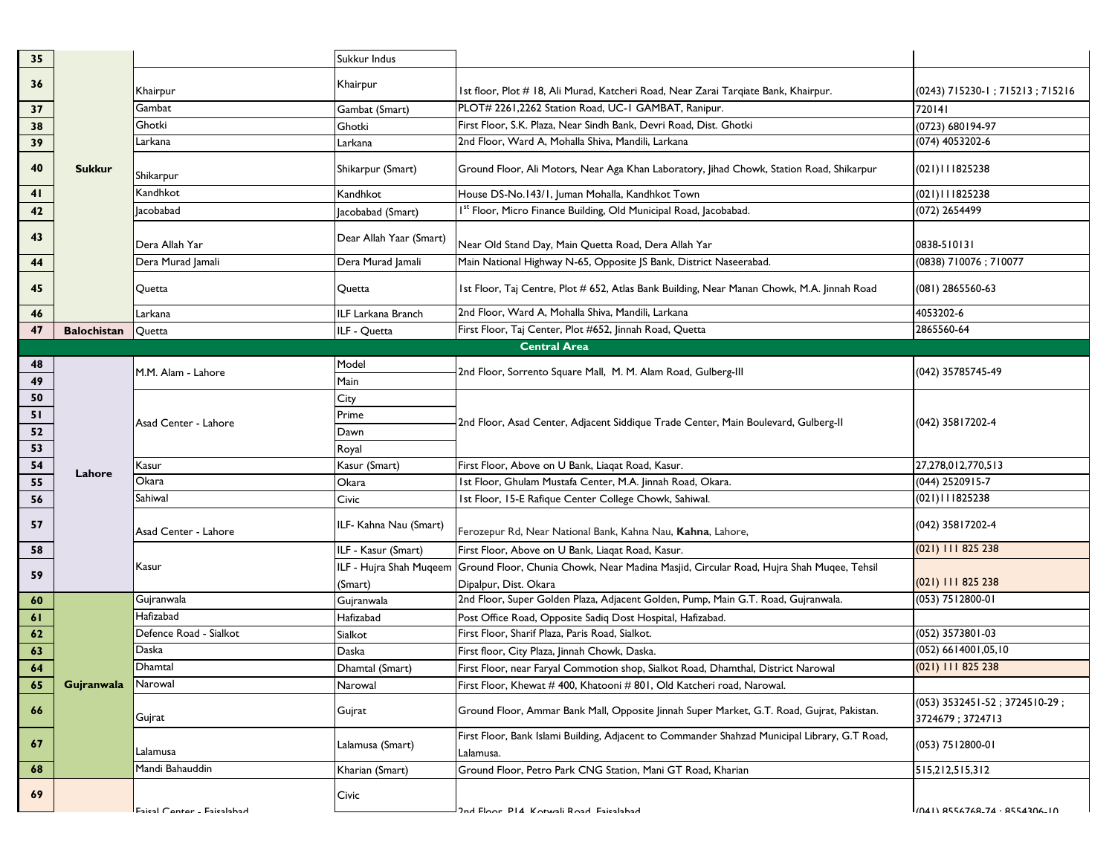| 35 |                    |                            | Sukkur Indus              |                                                                                                            |                                                   |
|----|--------------------|----------------------------|---------------------------|------------------------------------------------------------------------------------------------------------|---------------------------------------------------|
| 36 |                    | Khairpur                   | Khairpur                  | Ist floor, Plot # 18, Ali Murad, Katcheri Road, Near Zarai Tarqiate Bank, Khairpur.                        | (0243) 715230-1; 715213; 715216                   |
| 37 |                    | Gambat                     | Gambat (Smart)            | PLOT# 2261,2262 Station Road, UC-1 GAMBAT, Ranipur.                                                        | 720141                                            |
| 38 |                    | Ghotki                     | Ghotki                    | First Floor, S.K. Plaza, Near Sindh Bank, Devri Road, Dist. Ghotki                                         | (0723) 680194-97                                  |
| 39 |                    | Larkana                    | Larkana                   | 2nd Floor, Ward A, Mohalla Shiva, Mandili, Larkana                                                         | (074) 4053202-6                                   |
| 40 | <b>Sukkur</b>      | Shikarpur                  | Shikarpur (Smart)         | Ground Floor, Ali Motors, Near Aga Khan Laboratory, Jihad Chowk, Station Road, Shikarpur                   | (021)111825238                                    |
| 41 |                    | Kandhkot                   | Kandhkot                  | House DS-No.143/1, Juman Mohalla, Kandhkot Town                                                            | (021)111825238                                    |
| 42 |                    | lacobabad                  | Jacobabad (Smart)         | I <sup>st</sup> Floor, Micro Finance Building, Old Municipal Road, Jacobabad.                              | (072) 2654499                                     |
| 43 |                    | Dera Allah Yar             | Dear Allah Yaar (Smart)   | Near Old Stand Day, Main Quetta Road, Dera Allah Yar                                                       | 0838-510131                                       |
| 44 |                    | Dera Murad Jamali          | Dera Murad Jamali         | Main National Highway N-65, Opposite JS Bank, District Naseerabad.                                         | (0838) 710076; 710077                             |
| 45 |                    | Quetta                     | Quetta                    | Ist Floor, Taj Centre, Plot # 652, Atlas Bank Building, Near Manan Chowk, M.A. Jinnah Road                 | (081) 2865560-63                                  |
| 46 |                    | Larkana                    | <b>ILF Larkana Branch</b> | 2nd Floor, Ward A, Mohalla Shiva, Mandili, Larkana                                                         | 4053202-6                                         |
| 47 | <b>Balochistan</b> | Quetta                     | ILF - Quetta              | First Floor, Taj Center, Plot #652, Jinnah Road, Quetta                                                    | 2865560-64                                        |
|    |                    |                            |                           | <b>Central Area</b>                                                                                        |                                                   |
| 48 |                    | M.M. Alam - Lahore         | Model                     | 2nd Floor, Sorrento Square Mall, M. M. Alam Road, Gulberg-III                                              | (042) 35785745-49                                 |
| 49 |                    |                            | Main                      |                                                                                                            |                                                   |
| 50 |                    |                            | City                      |                                                                                                            |                                                   |
| 51 |                    | Asad Center - Lahore       | Prime                     | 2nd Floor, Asad Center, Adjacent Siddique Trade Center, Main Boulevard, Gulberg-II                         | (042) 35817202-4                                  |
| 52 |                    |                            | Dawn                      |                                                                                                            |                                                   |
| 53 |                    |                            | Royal                     |                                                                                                            |                                                   |
| 54 | Lahore             | Kasur                      | Kasur (Smart)             | First Floor, Above on U Bank, Liagat Road, Kasur.                                                          | 27,278,012,770,513                                |
| 55 |                    | Okara                      | Okara                     | Ist Floor, Ghulam Mustafa Center, M.A. Jinnah Road, Okara.                                                 | (044) 2520915-7                                   |
| 56 |                    | Sahiwal                    | Civic                     | 1st Floor, 15-E Rafique Center College Chowk, Sahiwal.                                                     | (021)111825238                                    |
| 57 |                    | Asad Center - Lahore       | ILF- Kahna Nau (Smart)    | Ferozepur Rd, Near National Bank, Kahna Nau, Kahna, Lahore,                                                | (042) 35817202-4                                  |
| 58 |                    |                            | ILF - Kasur (Smart)       | First Floor, Above on U Bank, Liaqat Road, Kasur.                                                          | (021) 111 825 238                                 |
| 59 |                    | Kasur                      | ILF - Hujra Shah Muqeem   | Ground Floor, Chunia Chowk, Near Madina Masjid, Circular Road, Hujra Shah Muqee, Tehsil                    |                                                   |
|    |                    |                            | (Smart)                   | Dipalpur, Dist. Okara                                                                                      | (021) 111 825 238                                 |
| 60 |                    | Gujranwala                 | Gujranwala                | 2nd Floor, Super Golden Plaza, Adjacent Golden, Pump, Main G.T. Road, Gujranwala.                          | (053) 7512800-01                                  |
| 61 |                    | Hafizabad                  | Hafizabad                 | Post Office Road, Opposite Sadiq Dost Hospital, Hafizabad.                                                 |                                                   |
| 62 |                    | Defence Road - Sialkot     | Sialkot                   | First Floor, Sharif Plaza, Paris Road, Sialkot.                                                            | (052) 3573801-03                                  |
| 63 |                    | Daska                      | Daska                     | First floor, City Plaza, Jinnah Chowk, Daska.                                                              | (052) 6614001,05,10                               |
| 64 |                    | Dhamtal                    | Dhamtal (Smart)           | First Floor, near Faryal Commotion shop, Sialkot Road, Dhamthal, District Narowal                          | (021) 111 825 238                                 |
| 65 | Gujranwala         | Narowal                    | Narowal                   | First Floor, Khewat # 400, Khatooni # 801, Old Katcheri road, Narowal.                                     |                                                   |
| 66 |                    | Gujrat                     | Gujrat                    | Ground Floor, Ammar Bank Mall, Opposite Jinnah Super Market, G.T. Road, Gujrat, Pakistan.                  | (053) 3532451-52; 3724510-29;<br>3724679; 3724713 |
| 67 |                    | Lalamusa                   | Lalamusa (Smart)          | First Floor, Bank Islami Building, Adjacent to Commander Shahzad Municipal Library, G.T Road,<br>Lalamusa. | (053) 7512800-01                                  |
| 68 |                    | Mandi Bahauddin            | Kharian (Smart)           | Ground Floor, Petro Park CNG Station, Mani GT Road, Kharian                                                | 515,212,515,312                                   |
| 69 |                    | Faical Contor - Faicalahad | Civic                     | Ind Floor PI4 Kotwali Road Faicalahad                                                                      | (041) REEL7LR_74 - REEL30L_IO                     |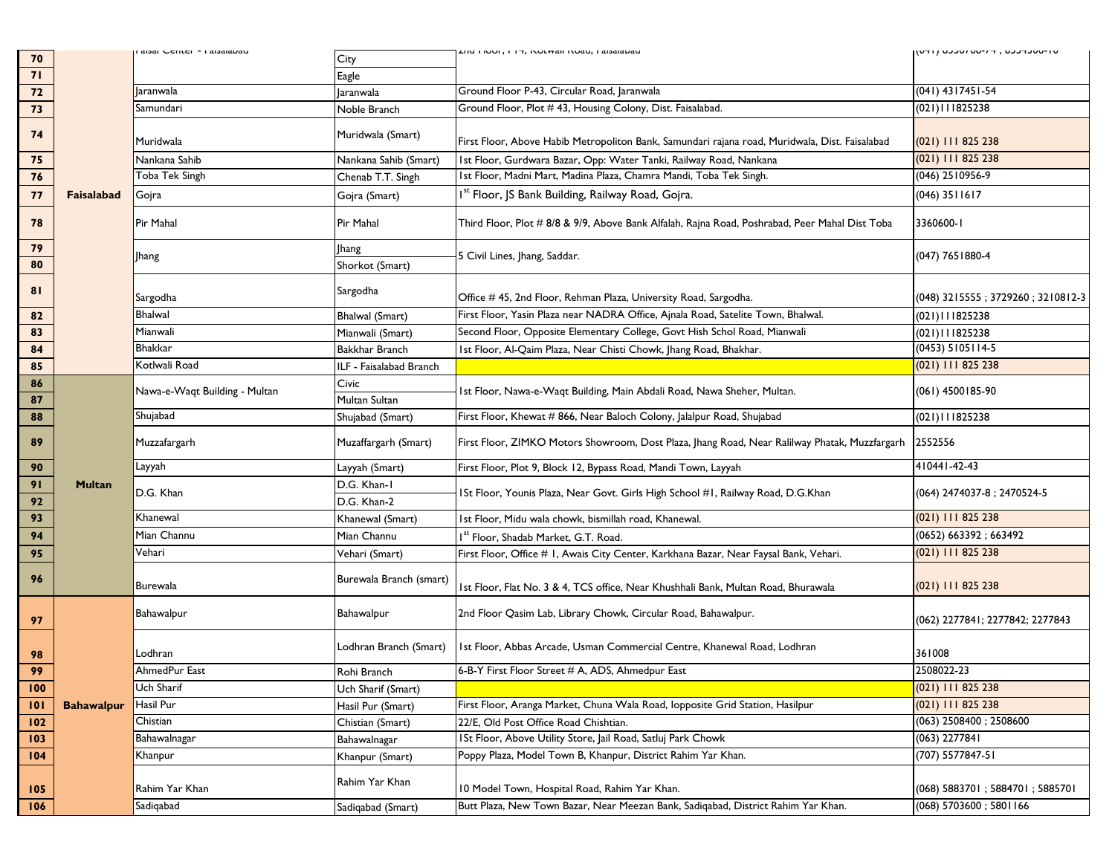| 70       |                   | alsal Cellici - Laisalavau    | City                       | <b>AUM LIVVILLET, INVERTAILINVAN, LABAIAVAN</b>                                                | ט ו-טטעדעכט , ד ליטט לטכנט ( ודטן |
|----------|-------------------|-------------------------------|----------------------------|------------------------------------------------------------------------------------------------|-----------------------------------|
| 71       |                   |                               | Eagle                      |                                                                                                |                                   |
| 72       |                   | <b>Jaranwala</b>              | laranwala                  | Ground Floor P-43, Circular Road, Jaranwala                                                    | $(041)$ 4317451-54                |
| 73       |                   | Samundari                     | Noble Branch               | Ground Floor, Plot #43, Housing Colony, Dist. Faisalabad.                                      | (021)111825238                    |
| 74       |                   | Muridwala                     | Muridwala (Smart)          | First Floor, Above Habib Metropoliton Bank, Samundari rajana road, Muridwala, Dist. Faisalabad | (021) 111 825 238                 |
| 75       |                   | Nankana Sahib                 | Nankana Sahib (Smart)      | Ist Floor, Gurdwara Bazar, Opp: Water Tanki, Railway Road, Nankana                             | $(021)$ 111 825 238               |
| 76       |                   | Toba Tek Singh                | Chenab T.T. Singh          | Ist Floor, Madni Mart, Madina Plaza, Chamra Mandi, Toba Tek Singh.                             | (046) 2510956-9                   |
| 77       | Faisalabad        | Gojra                         | Goira (Smart)              | Ist Floor, JS Bank Building, Railway Road, Gojra.                                              | (046) 3511617                     |
| 78       |                   | Pir Mahal                     | Pir Mahal                  | Third Floor, Plot # 8/8 & 9/9, Above Bank Alfalah, Rajna Road, Poshrabad, Peer Mahal Dist Toba | 3360600-1                         |
| 79       |                   |                               | <b>Ihang</b>               |                                                                                                |                                   |
| 80       |                   | Jhang                         | Shorkot (Smart)            | 5 Civil Lines, Jhang, Saddar.                                                                  | (047) 7651880-4                   |
| 81       |                   | Sargodha                      | Sargodha                   | Office # 45, 2nd Floor, Rehman Plaza, University Road, Sargodha.                               | (048) 3215555; 3729260; 3210812-3 |
| 82       |                   | <b>Bhalwal</b>                | <b>Bhalwal (Smart)</b>     | First Floor, Yasin Plaza near NADRA Office, Ajnala Road, Satelite Town, Bhalwal.               | (021)111825238                    |
| 83       |                   | Mianwali                      | Mianwali (Smart)           | Second Floor, Opposite Elementary College, Govt Hish Schol Road, Mianwali                      | (021)111825238                    |
| 84       |                   | <b>Bhakkar</b>                | Bakkhar Branch             | Ist Floor, Al-Qaim Plaza, Near Chisti Chowk, Jhang Road, Bhakhar.                              | (0453) 5105114-5                  |
| 85       |                   | Kotlwali Road                 | ILF - Faisalabad Branch    |                                                                                                | (021) 111 825 238                 |
| 86       |                   | Nawa-e-Waqt Building - Multan | Civic                      | Ist Floor, Nawa-e-Waqt Building, Main Abdali Road, Nawa Sheher, Multan.                        | (061) 4500185-90                  |
| 87       |                   |                               | Multan Sultan              |                                                                                                |                                   |
| 88       |                   | Shujabad                      | Shujabad (Smart)           | First Floor, Khewat # 866, Near Baloch Colony, Jalalpur Road, Shujabad                         | (021)111825238                    |
| 89       |                   | Muzzafargarh                  | Muzaffargarh (Smart)       | First Floor, ZIMKO Motors Showroom, Dost Plaza, Jhang Road, Near Ralilway Phatak, Muzzfargarh  | 2552556                           |
| 90       |                   | Layyah                        | Layyah (Smart)             | First Floor, Plot 9, Block 12, Bypass Road, Mandi Town, Layyah                                 | 410441-42-43                      |
| 91<br>92 | <b>Multan</b>     | D.G. Khan                     | D.G. Khan-I<br>D.G. Khan-2 | ISt Floor, Younis Plaza, Near Govt. Girls High School #1, Railway Road, D.G.Khan               | (064) 2474037-8 ; 2470524-5       |
| 93       |                   | Khanewal                      | Khanewal (Smart)           | 1st Floor, Midu wala chowk, bismillah road, Khanewal.                                          | (021) 111 825 238                 |
| 94       |                   | Mian Channu                   | Mian Channu                | I <sup>st</sup> Floor, Shadab Market, G.T. Road.                                               | (0652) 663392; 663492             |
| 95       |                   | Vehari                        | Vehari (Smart)             | First Floor, Office # 1, Awais City Center, Karkhana Bazar, Near Faysal Bank, Vehari.          | (021) 111 825 238                 |
| 96       |                   | <b>Burewala</b>               | Burewala Branch (smart)    | Ist Floor, Flat No. 3 & 4, TCS office, Near Khushhali Bank, Multan Road, Bhurawala             | $(021)$ 111 825 238               |
| 97       |                   | Bahawalpur                    | Bahawalpur                 | 2nd Floor Qasim Lab, Library Chowk, Circular Road, Bahawalpur.                                 | (062) 2277841; 2277842; 2277843   |
| 98       |                   | Lodhran                       | Lodhran Branch (Smart)     | 1st Floor, Abbas Arcade, Usman Commercial Centre, Khanewal Road, Lodhran                       | 361008                            |
| 99       |                   | AhmedPur East                 | Rohi Branch                | 6-B-Y First Floor Street # A, ADS, Ahmedpur East                                               | 2508022-23                        |
| 100      |                   | Uch Sharif                    | Uch Sharif (Smart)         |                                                                                                | (021) 111 825 238                 |
| 101      | <b>Bahawalpur</b> | Hasil Pur                     | Hasil Pur (Smart)          | First Floor, Aranga Market, Chuna Wala Road, lopposite Grid Station, Hasilpur                  | (021) 111 825 238                 |
| 102      |                   | Chistian                      | Chistian (Smart)           | 22/E, Old Post Office Road Chishtian.                                                          | (063) 2508400; 2508600            |
| 103      |                   | Bahawalnagar                  | Bahawalnagar               | ISt Floor, Above Utility Store, Jail Road, Satluj Park Chowk                                   | (063) 2277841                     |
| 104      |                   | Khanpur                       | Khanpur (Smart)            | Poppy Plaza, Model Town B, Khanpur, District Rahim Yar Khan.                                   | (707) 5577847-51                  |
| 105      |                   | Rahim Yar Khan                | Rahim Yar Khan             | 10 Model Town, Hospital Road, Rahim Yar Khan.                                                  | (068) 5883701; 5884701; 5885701   |
| 106      |                   | Sadiqabad                     | Sadiqabad (Smart)          | Butt Plaza, New Town Bazar, Near Meezan Bank, Sadigabad, District Rahim Yar Khan.              | (068) 5703600; 5801166            |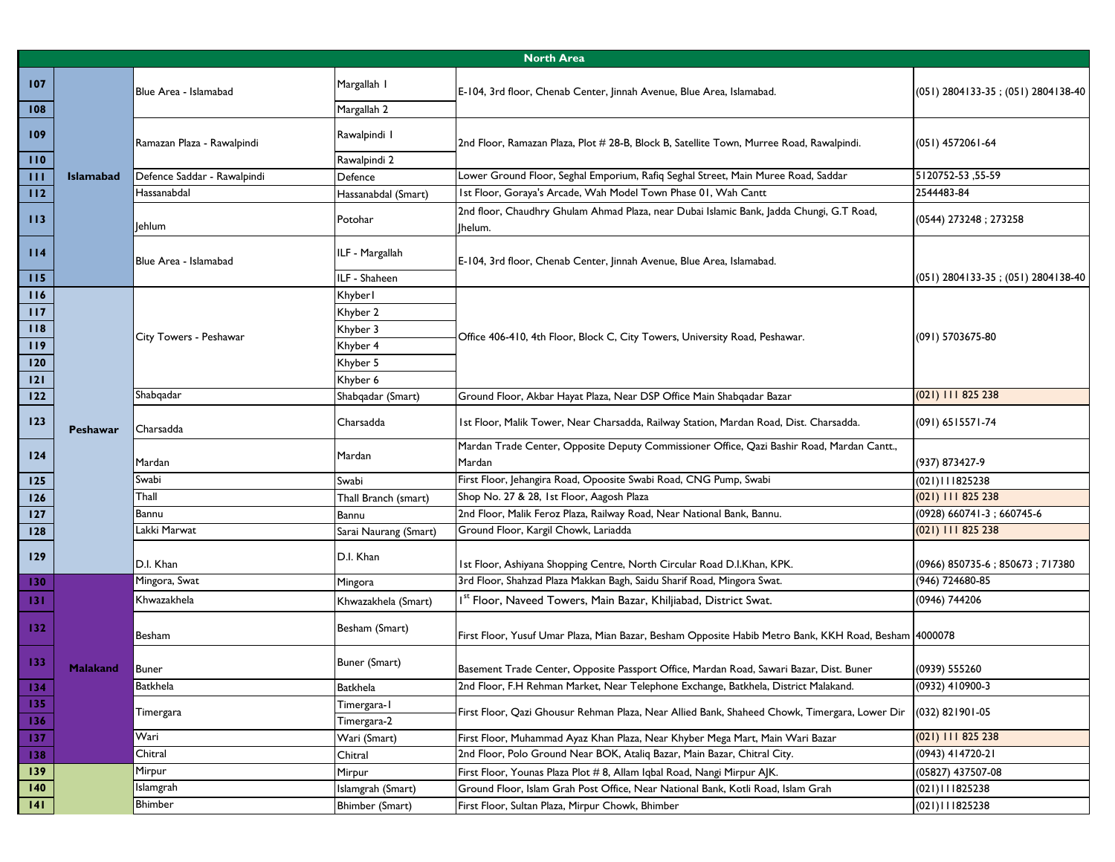|            | <b>North Area</b> |                             |                              |                                                                                                       |                                      |  |
|------------|-------------------|-----------------------------|------------------------------|-------------------------------------------------------------------------------------------------------|--------------------------------------|--|
| 107<br>108 |                   | Blue Area - Islamabad       | Margallah I<br>Margallah 2   | E-104, 3rd floor, Chenab Center, Jinnah Avenue, Blue Area, Islamabad.                                 | $(051)$ 2804133-35; (051) 2804138-40 |  |
| 109<br>110 |                   | Ramazan Plaza - Rawalpindi  | Rawalpindi I<br>Rawalpindi 2 | 2nd Floor, Ramazan Plaza, Plot # 28-B, Block B, Satellite Town, Murree Road, Rawalpindi.              | $(051)$ 4572061-64                   |  |
| Ш          | <b>Islamabad</b>  | Defence Saddar - Rawalpindi | Defence                      | Lower Ground Floor, Seghal Emporium, Rafiq Seghal Street, Main Muree Road, Saddar                     | 5120752-53,55-59                     |  |
| 112        |                   | Hassanabdal                 | Hassanabdal (Smart)          | Ist Floor, Goraya's Arcade, Wah Model Town Phase 01, Wah Cantt                                        | 2544483-84                           |  |
| 113        |                   | lehlum                      | Potohar                      | 2nd floor, Chaudhry Ghulam Ahmad Plaza, near Dubai Islamic Bank, Jadda Chungi, G.T Road,<br> helum.   | (0544) 273248; 273258                |  |
| 114        |                   | Blue Area - Islamabad       | ILF - Margallah              | E-104, 3rd floor, Chenab Center, Jinnah Avenue, Blue Area, Islamabad.                                 |                                      |  |
| 115        |                   |                             | ILF - Shaheen                |                                                                                                       | $(051)$ 2804133-35; (051) 2804138-40 |  |
| 116        |                   |                             | Khyber I                     |                                                                                                       |                                      |  |
| 117        |                   |                             | Khyber 2                     |                                                                                                       |                                      |  |
| 118        |                   | City Towers - Peshawar      | Khyber 3                     | Office 406-410, 4th Floor, Block C, City Towers, University Road, Peshawar.                           | (091) 5703675-80                     |  |
| 119        |                   |                             | Khyber 4                     |                                                                                                       |                                      |  |
| 120        |                   |                             | Khyber 5                     |                                                                                                       |                                      |  |
| 121        |                   |                             | Khyber 6                     |                                                                                                       |                                      |  |
| 122        |                   | Shabqadar                   | Shabqadar (Smart)            | Ground Floor, Akbar Hayat Plaza, Near DSP Office Main Shabqadar Bazar                                 | $(021)$ 111 825 238                  |  |
| 123        | Peshawar          | Charsadda                   | Charsadda                    | Ist Floor, Malik Tower, Near Charsadda, Railway Station, Mardan Road, Dist. Charsadda.                | (091) 6515571-74                     |  |
| 124        |                   | Mardan                      | Mardan                       | Mardan Trade Center, Opposite Deputy Commissioner Office, Qazi Bashir Road, Mardan Cantt.,<br>Mardan  | (937) 873427-9                       |  |
| 125        |                   | Swabi                       | Swabi                        | First Floor, Jehangira Road, Opoosite Swabi Road, CNG Pump, Swabi                                     | (021)111825238                       |  |
| 126        |                   | Thall                       | Thall Branch (smart)         | Shop No. 27 & 28, 1st Floor, Aagosh Plaza                                                             | (021) 111 825 238                    |  |
| 127        |                   | Bannu                       | Bannu                        | 2nd Floor, Malik Feroz Plaza, Railway Road, Near National Bank, Bannu.                                | (0928) 660741-3; 660745-6            |  |
| 128        |                   | Lakki Marwat                | Sarai Naurang (Smart)        | Ground Floor, Kargil Chowk, Lariadda                                                                  | $(021)$ 111 825 238                  |  |
| 129        |                   | D.I. Khan                   | D.I. Khan                    | Ist Floor, Ashiyana Shopping Centre, North Circular Road D.I.Khan, KPK.                               | (0966) 850735-6; 850673; 717380      |  |
| 130        |                   | Mingora, Swat               | Mingora                      | 3rd Floor, Shahzad Plaza Makkan Bagh, Saidu Sharif Road, Mingora Swat.                                | (946) 724680-85                      |  |
| 131        |                   | Khwazakhela                 | Khwazakhela (Smart)          | I <sup>st</sup> Floor, Naveed Towers, Main Bazar, Khiljiabad, District Swat.                          | (0946) 744206                        |  |
| 132        |                   | Besham                      | Besham (Smart)               | First Floor, Yusuf Umar Plaza, Mian Bazar, Besham Opposite Habib Metro Bank, KKH Road, Besham 4000078 |                                      |  |
| 133        | <b>Malakand</b>   | Buner                       | Buner (Smart)                | Basement Trade Center, Opposite Passport Office, Mardan Road, Sawari Bazar, Dist. Buner               | (0939) 555260                        |  |
| 134        |                   | Batkhela                    | <b>Batkhela</b>              | 2nd Floor, F.H Rehman Market, Near Telephone Exchange, Batkhela, District Malakand.                   | (0932) 410900-3                      |  |
| 135<br>136 |                   | Timergara                   | Timergara-1<br>Timergara-2   | First Floor, Qazi Ghousur Rehman Plaza, Near Allied Bank, Shaheed Chowk, Timergara, Lower Dir         | (032) 821901-05                      |  |
| 137        |                   | Wari                        | Wari (Smart)                 | First Floor, Muhammad Ayaz Khan Plaza, Near Khyber Mega Mart, Main Wari Bazar                         | $(021)$ 111 825 238                  |  |
| 138        |                   | Chitral                     | Chitral                      | 2nd Floor, Polo Ground Near BOK, Atalig Bazar, Main Bazar, Chitral City.                              | (0943) 414720-21                     |  |
| 139        |                   | Mirpur                      | Mirpur                       | First Floor, Younas Plaza Plot # 8, Allam Iqbal Road, Nangi Mirpur AJK.                               | (05827) 437507-08                    |  |
| 140        |                   | Islamgrah                   | Islamgrah (Smart)            | Ground Floor, Islam Grah Post Office, Near National Bank, Kotli Road, Islam Grah                      | (021)111825238                       |  |
| 4          |                   | Bhimber                     | Bhimber (Smart)              | First Floor, Sultan Plaza, Mirpur Chowk, Bhimber                                                      | (021)111825238                       |  |